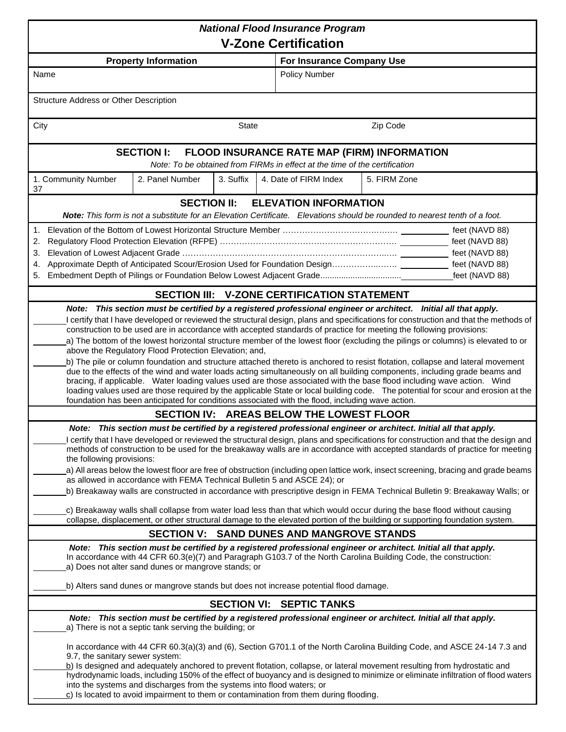| <b>National Flood Insurance Program</b>                                                                                                                                                                                                                                                                                                                                                                                                                                                                                                                                                                                                                                                                                                                                                                                                                                                                                                             |                                             |                              |                           |  |  |  |
|-----------------------------------------------------------------------------------------------------------------------------------------------------------------------------------------------------------------------------------------------------------------------------------------------------------------------------------------------------------------------------------------------------------------------------------------------------------------------------------------------------------------------------------------------------------------------------------------------------------------------------------------------------------------------------------------------------------------------------------------------------------------------------------------------------------------------------------------------------------------------------------------------------------------------------------------------------|---------------------------------------------|------------------------------|---------------------------|--|--|--|
| <b>V-Zone Certification</b>                                                                                                                                                                                                                                                                                                                                                                                                                                                                                                                                                                                                                                                                                                                                                                                                                                                                                                                         |                                             |                              |                           |  |  |  |
|                                                                                                                                                                                                                                                                                                                                                                                                                                                                                                                                                                                                                                                                                                                                                                                                                                                                                                                                                     | <b>Property Information</b>                 |                              | For Insurance Company Use |  |  |  |
| Name                                                                                                                                                                                                                                                                                                                                                                                                                                                                                                                                                                                                                                                                                                                                                                                                                                                                                                                                                |                                             | Policy Number                |                           |  |  |  |
| Structure Address or Other Description                                                                                                                                                                                                                                                                                                                                                                                                                                                                                                                                                                                                                                                                                                                                                                                                                                                                                                              |                                             |                              |                           |  |  |  |
| City                                                                                                                                                                                                                                                                                                                                                                                                                                                                                                                                                                                                                                                                                                                                                                                                                                                                                                                                                | State                                       |                              | Zip Code                  |  |  |  |
| <b>SECTION I:</b><br><b>FLOOD INSURANCE RATE MAP (FIRM) INFORMATION</b><br>Note: To be obtained from FIRMs in effect at the time of the certification                                                                                                                                                                                                                                                                                                                                                                                                                                                                                                                                                                                                                                                                                                                                                                                               |                                             |                              |                           |  |  |  |
| 1. Community Number<br>37                                                                                                                                                                                                                                                                                                                                                                                                                                                                                                                                                                                                                                                                                                                                                                                                                                                                                                                           | 3. Suffix<br>2. Panel Number                | 4. Date of FIRM Index        | 5. FIRM Zone              |  |  |  |
|                                                                                                                                                                                                                                                                                                                                                                                                                                                                                                                                                                                                                                                                                                                                                                                                                                                                                                                                                     | <b>SECTION II:</b>                          | <b>ELEVATION INFORMATION</b> |                           |  |  |  |
| Note: This form is not a substitute for an Elevation Certificate. Elevations should be rounded to nearest tenth of a foot.                                                                                                                                                                                                                                                                                                                                                                                                                                                                                                                                                                                                                                                                                                                                                                                                                          |                                             |                              |                           |  |  |  |
| 2.<br>3.<br>4.<br>feet (NAVD 88)<br>5.                                                                                                                                                                                                                                                                                                                                                                                                                                                                                                                                                                                                                                                                                                                                                                                                                                                                                                              |                                             |                              |                           |  |  |  |
|                                                                                                                                                                                                                                                                                                                                                                                                                                                                                                                                                                                                                                                                                                                                                                                                                                                                                                                                                     | SECTION III: V-ZONE CERTIFICATION STATEMENT |                              |                           |  |  |  |
| construction to be used are in accordance with accepted standards of practice for meeting the following provisions:<br>a) The bottom of the lowest horizontal structure member of the lowest floor (excluding the pilings or columns) is elevated to or<br>above the Regulatory Flood Protection Elevation; and,<br>b) The pile or column foundation and structure attached thereto is anchored to resist flotation, collapse and lateral movement<br>due to the effects of the wind and water loads acting simultaneously on all building components, including grade beams and<br>bracing, if applicable. Water loading values used are those associated with the base flood including wave action. Wind<br>loading values used are those required by the applicable State or local building code. The potential for scour and erosion at the<br>foundation has been anticipated for conditions associated with the flood, including wave action. |                                             |                              |                           |  |  |  |
|                                                                                                                                                                                                                                                                                                                                                                                                                                                                                                                                                                                                                                                                                                                                                                                                                                                                                                                                                     | SECTION IV: AREAS BELOW THE LOWEST FLOOR    |                              |                           |  |  |  |
| Note: This section must be certified by a registered professional engineer or architect. Initial all that apply.<br>I certify that I have developed or reviewed the structural design, plans and specifications for construction and that the design and<br>methods of construction to be used for the breakaway walls are in accordance with accepted standards of practice for meeting<br>the following provisions:<br>a) All areas below the lowest floor are free of obstruction (including open lattice work, insect screening, bracing and grade beams<br>as allowed in accordance with FEMA Technical Bulletin 5 and ASCE 24); or<br>b) Breakaway walls are constructed in accordance with prescriptive design in FEMA Technical Bulletin 9: Breakaway Walls; or                                                                                                                                                                             |                                             |                              |                           |  |  |  |
| c) Breakaway walls shall collapse from water load less than that which would occur during the base flood without causing<br>collapse, displacement, or other structural damage to the elevated portion of the building or supporting foundation system.                                                                                                                                                                                                                                                                                                                                                                                                                                                                                                                                                                                                                                                                                             |                                             |                              |                           |  |  |  |
| SECTION V: SAND DUNES AND MANGROVE STANDS                                                                                                                                                                                                                                                                                                                                                                                                                                                                                                                                                                                                                                                                                                                                                                                                                                                                                                           |                                             |                              |                           |  |  |  |
| Note: This section must be certified by a registered professional engineer or architect. Initial all that apply.<br>In accordance with 44 CFR 60.3(e)(7) and Paragraph G103.7 of the North Carolina Building Code, the construction:<br>a) Does not alter sand dunes or mangrove stands; or<br>b) Alters sand dunes or mangrove stands but does not increase potential flood damage.                                                                                                                                                                                                                                                                                                                                                                                                                                                                                                                                                                |                                             |                              |                           |  |  |  |
| <b>SECTION VI: SEPTIC TANKS</b>                                                                                                                                                                                                                                                                                                                                                                                                                                                                                                                                                                                                                                                                                                                                                                                                                                                                                                                     |                                             |                              |                           |  |  |  |
| Note: This section must be certified by a registered professional engineer or architect. Initial all that apply.<br>a) There is not a septic tank serving the building; or                                                                                                                                                                                                                                                                                                                                                                                                                                                                                                                                                                                                                                                                                                                                                                          |                                             |                              |                           |  |  |  |
| In accordance with 44 CFR 60.3(a)(3) and (6), Section G701.1 of the North Carolina Building Code, and ASCE 24-14 7.3 and<br>9.7, the sanitary sewer system:<br>b) Is designed and adequately anchored to prevent flotation, collapse, or lateral movement resulting from hydrostatic and<br>hydrodynamic loads, including 150% of the effect of buoyancy and is designed to minimize or eliminate infiltration of flood waters<br>into the systems and discharges from the systems into flood waters; or<br>$c$ ) Is located to avoid impairment to them or contamination from them during flooding.                                                                                                                                                                                                                                                                                                                                                |                                             |                              |                           |  |  |  |